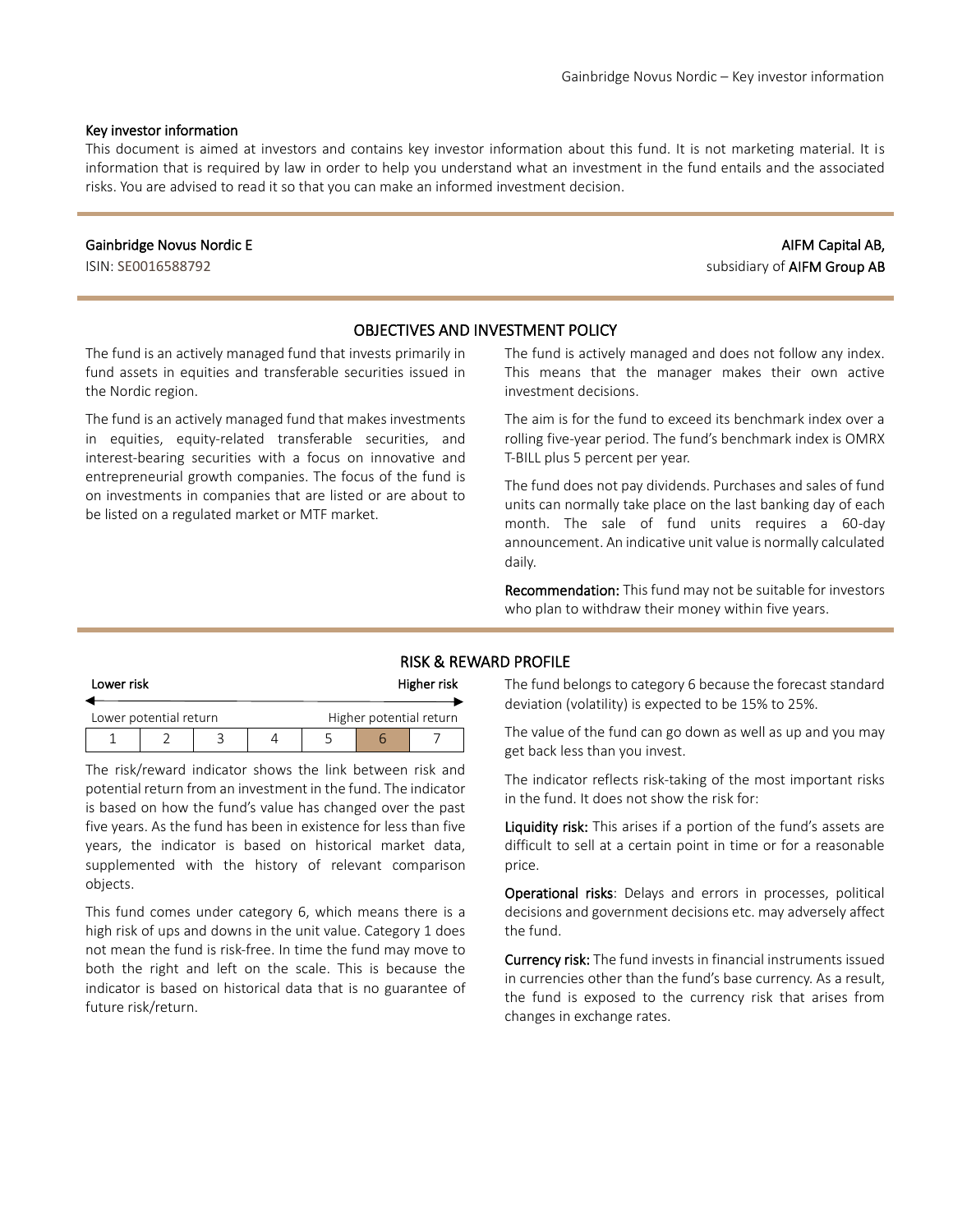#### Key investor information

This document is aimed at investors and contains key investor information about this fund. It is not marketing material. It is information that is required by law in order to help you understand what an investment in the fund entails and the associated risks. You are advised to read it so that you can make an informed investment decision.

#### Gainbridge Novus Nordic E

ISIN: SE0016588792

# AIFM Capital AB, subsidiary of AIFM Group AB

### OBJECTIVES AND INVESTMENT POLICY

The fund is an actively managed fund that invests primarily in fund assets in equities and transferable securities issued in the Nordic region.

The fund is an actively managed fund that makes investments in equities, equity-related transferable securities, and interest-bearing securities with a focus on innovative and entrepreneurial growth companies. The focus of the fund is on investments in companies that are listed or are about to be listed on a regulated market or MTF market.

The fund is actively managed and does not follow any index. This means that the manager makes their own active investment decisions.

The aim is for the fund to exceed its benchmark index over a rolling five-year period. The fund's benchmark index is OMRX T-BILL plus 5 percent per year.

The fund does not pay dividends. Purchases and sales of fund units can normally take place on the last banking day of each month. The sale of fund units requires a 60-day announcement. An indicative unit value is normally calculated daily.

Recommendation: This fund may not be suitable for investors who plan to withdraw their money within five years.

### RISK & REWARD PROFILE

| Lower risk             |  |  | Higher risk |                         |  |  |
|------------------------|--|--|-------------|-------------------------|--|--|
| Lower potential return |  |  |             | Higher potential return |  |  |
|                        |  |  |             |                         |  |  |

The risk/reward indicator shows the link between risk and potential return from an investment in the fund. The indicator is based on how the fund's value has changed over the past five years. As the fund has been in existence for less than five years, the indicator is based on historical market data, supplemented with the history of relevant comparison objects.

This fund comes under category 6, which means there is a high risk of ups and downs in the unit value. Category 1 does not mean the fund is risk-free. In time the fund may move to both the right and left on the scale. This is because the indicator is based on historical data that is no guarantee of future risk/return.

The fund belongs to category 6 because the forecast standard deviation (volatility) is expected to be 15% to 25%.

The value of the fund can go down as well as up and you may get back less than you invest.

The indicator reflects risk-taking of the most important risks in the fund. It does not show the risk for:

Liquidity risk: This arises if a portion of the fund's assets are difficult to sell at a certain point in time or for a reasonable price.

Operational risks: Delays and errors in processes, political decisions and government decisions etc. may adversely affect the fund.

Currency risk: The fund invests in financial instruments issued in currencies other than the fund's base currency. As a result, the fund is exposed to the currency risk that arises from changes in exchange rates.